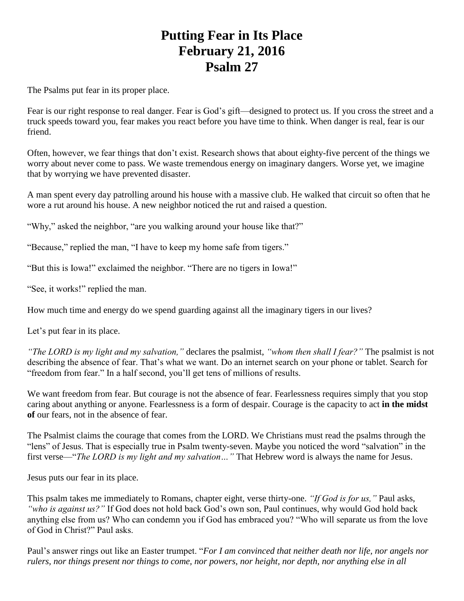## **Putting Fear in Its Place February 21, 2016 Psalm 27**

The Psalms put fear in its proper place.

Fear is our right response to real danger. Fear is God's gift—designed to protect us. If you cross the street and a truck speeds toward you, fear makes you react before you have time to think. When danger is real, fear is our friend.

Often, however, we fear things that don't exist. Research shows that about eighty-five percent of the things we worry about never come to pass. We waste tremendous energy on imaginary dangers. Worse yet, we imagine that by worrying we have prevented disaster.

A man spent every day patrolling around his house with a massive club. He walked that circuit so often that he wore a rut around his house. A new neighbor noticed the rut and raised a question.

"Why," asked the neighbor, "are you walking around your house like that?"

"Because," replied the man, "I have to keep my home safe from tigers."

"But this is Iowa!" exclaimed the neighbor. "There are no tigers in Iowa!"

"See, it works!" replied the man.

How much time and energy do we spend guarding against all the imaginary tigers in our lives?

Let's put fear in its place.

*"The LORD is my light and my salvation,"* declares the psalmist, *"whom then shall I fear?"* The psalmist is not describing the absence of fear. That's what we want. Do an internet search on your phone or tablet. Search for "freedom from fear." In a half second, you'll get tens of millions of results.

We want freedom from fear. But courage is not the absence of fear. Fearlessness requires simply that you stop caring about anything or anyone. Fearlessness is a form of despair. Courage is the capacity to act **in the midst of** our fears, not in the absence of fear.

The Psalmist claims the courage that comes from the LORD. We Christians must read the psalms through the "lens" of Jesus. That is especially true in Psalm twenty-seven. Maybe you noticed the word "salvation" in the first verse—"*The LORD is my light and my salvation…"* That Hebrew word is always the name for Jesus.

Jesus puts our fear in its place.

This psalm takes me immediately to Romans, chapter eight, verse thirty-one. *"If God is for us,"* Paul asks, *"who is against us?"* If God does not hold back God's own son, Paul continues, why would God hold back anything else from us? Who can condemn you if God has embraced you? "Who will separate us from the love of God in Christ?" Paul asks.

Paul's answer rings out like an Easter trumpet. "*For I am convinced that neither death nor life, nor angels nor rulers, nor things present nor things to come, nor powers, nor height, nor depth, nor anything else in all*